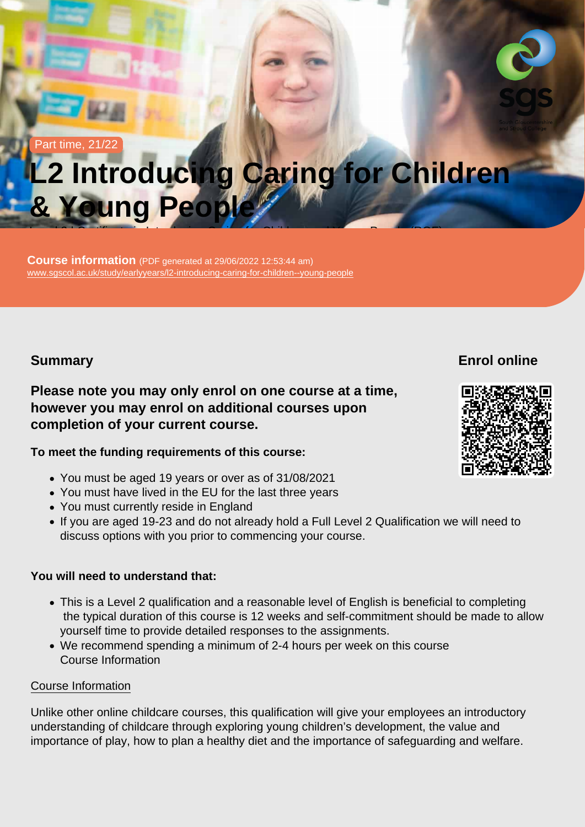Part time, 21/22

# L2 Introducing Caring for Children & Young People

Level 2 | Certificate in Introducing Caring for Children and Young People (RQF)

Course information (PDF generated at 29/06/2022 12:53:44 am) [www.sgscol.ac.uk/study/earlyyears/l2-introducing-caring-for-children--young-people](https://www.sgscol.ac.uk/study/earlyyears/l2-introducing-caring-for-children--young-people)

**Summary** 

Enrol online

Please note you may only enrol on one course at a time, however you may enrol on additional courses upon completion of your current course.

To meet the funding requirements of this course:

- You must be aged 19 years or over as of 31/08/2021
- You must have lived in the EU for the last three years
- You must currently reside in England
- If you are aged 19-23 and do not already hold a Full Level 2 Qualification we will need to discuss options with you prior to commencing your course.

You will need to understand that:

- This is a Level 2 qualification and a reasonable level of English is beneficial to completing the typical duration of this course is 12 weeks and self-commitment should be made to allow yourself time to provide detailed responses to the assignments.
- We recommend spending a minimum of 2-4 hours per week on this course Course Information

#### Course Information

Unlike other online childcare courses, this qualification will give your employees an introductory understanding of childcare through exploring young children's development, the value and importance of play, how to plan a healthy diet and the importance of safeguarding and welfare.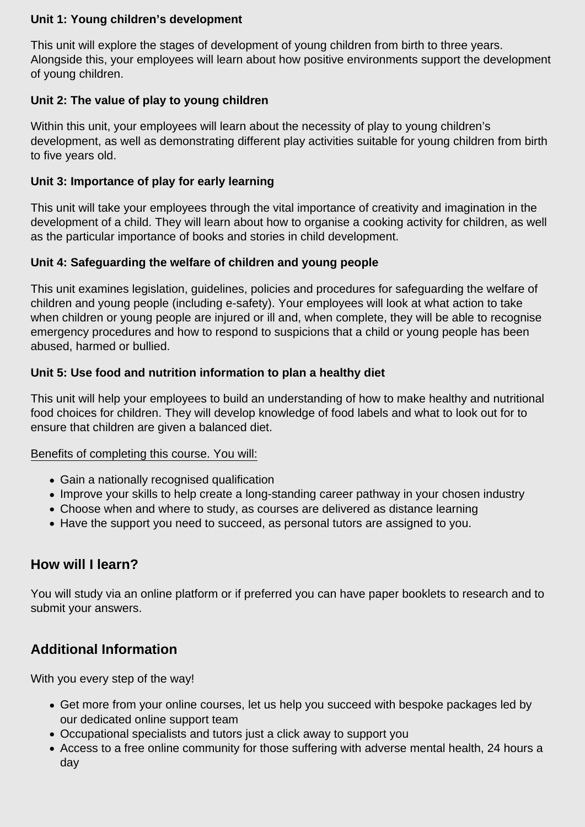### **Unit 1: Young children's development**

This unit will explore the stages of development of young children from birth to three years. Alongside this, your employees will learn about how positive environments support the development of young children.

### **Unit 2: The value of play to young children**

Within this unit, your employees will learn about the necessity of play to young children's development, as well as demonstrating different play activities suitable for young children from birth to five years old.

### **Unit 3: Importance of play for early learning**

This unit will take your employees through the vital importance of creativity and imagination in the development of a child. They will learn about how to organise a cooking activity for children, as well as the particular importance of books and stories in child development.

### **Unit 4: Safeguarding the welfare of children and young people**

This unit examines legislation, guidelines, policies and procedures for safeguarding the welfare of children and young people (including e-safety). Your employees will look at what action to take when children or young people are injured or ill and, when complete, they will be able to recognise emergency procedures and how to respond to suspicions that a child or young people has been abused, harmed or bullied.

### **Unit 5: Use food and nutrition information to plan a healthy diet**

This unit will help your employees to build an understanding of how to make healthy and nutritional food choices for children. They will develop knowledge of food labels and what to look out for to ensure that children are given a balanced diet.

#### Benefits of completing this course. You will:

- Gain a nationally recognised qualification
- Improve your skills to help create a long-standing career pathway in your chosen industry
- Choose when and where to study, as courses are delivered as distance learning
- Have the support you need to succeed, as personal tutors are assigned to you.

# **How will I learn?**

You will study via an online platform or if preferred you can have paper booklets to research and to submit your answers.

# **Additional Information**

With you every step of the way!

- Get more from your online courses, let us help you succeed with bespoke packages led by our dedicated online support team
- Occupational specialists and tutors just a click away to support you
- Access to a free online community for those suffering with adverse mental health, 24 hours a day